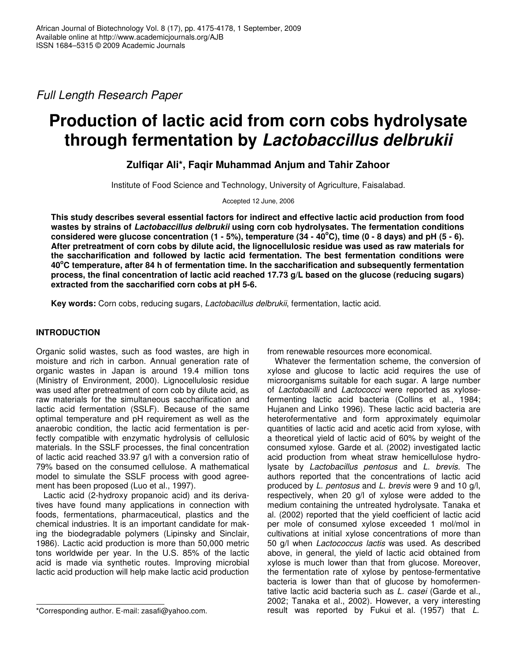*Full Length Research Paper*

# **Production of lactic acid from corn cobs hydrolysate through fermentation by** *Lactobaccillus delbrukii*

**Zulfiqar Ali\*, Faqir Muhammad Anjum and Tahir Zahoor**

Institute of Food Science and Technology, University of Agriculture, Faisalabad.

Accepted 12 June, 2006

**This study describes several essential factors for indirect and effective lactic acid production from food wastes by strains of** *Lactobaccillus delbrukii* **using corn cob hydrolysates. The fermentation conditions** considered were glucose concentration (1 - 5%), temperature (34 - 40°C), time (0 - 8 days) and pH (5 - 6). **After pretreatment of corn cobs by dilute acid, the lignocellulosic residue was used as raw materials for the saccharification and followed by lactic acid fermentation. The best fermentation conditions were 40 <sup>o</sup>C temperature, after 84 h of fermentation time. In the saccharification and subsequently fermentation process, the final concentration of lactic acid reached 17.73 g/L based on the glucose (reducing sugars) extracted from the saccharified corn cobs at pH 5-6.**

**Key words:** Corn cobs, reducing sugars, *Lactobacillus delbrukii*, fermentation, lactic acid.

# **INTRODUCTION**

Organic solid wastes, such as food wastes, are high in moisture and rich in carbon. Annual generation rate of organic wastes in Japan is around 19.4 million tons (Ministry of Environment, 2000). Lignocellulosic residue was used after pretreatment of corn cob by dilute acid, as raw materials for the simultaneous saccharification and lactic acid fermentation (SSLF). Because of the same optimal temperature and pH requirement as well as the anaerobic condition, the lactic acid fermentation is perfectly compatible with enzymatic hydrolysis of cellulosic materials. In the SSLF processes, the final concentration of lactic acid reached 33.97 g/l with a conversion ratio of 79% based on the consumed cellulose. A mathematical model to simulate the SSLF process with good agreement has been proposed (Luo et al., 1997).

Lactic acid (2-hydroxy propanoic acid) and its derivatives have found many applications in connection with foods, fermentations, pharmaceutical, plastics and the chemical industries. It is an important candidate for making the biodegradable polymers (Lipinsky and Sinclair, 1986). Lactic acid production is more than 50,000 metric tons worldwide per year. In the U.S. 85% of the lactic acid is made via synthetic routes. Improving microbial lactic acid production will help make lactic acid production

from renewable resources more economical.

Whatever the fermentation scheme, the conversion of xylose and glucose to lactic acid requires the use of microorganisms suitable for each sugar. A large number of *Lactobacilli* and *Lactococci* were reported as xylosefermenting lactic acid bacteria (Collins et al*.*, 1984; Hujanen and Linko 1996). These lactic acid bacteria are heterofermentative and form approximately equimolar quantities of lactic acid and acetic acid from xylose, with a theoretical yield of lactic acid of 60% by weight of the consumed xylose. Garde et al. (2002) investigated lactic acid production from wheat straw hemicellulose hydrolysate by *Lactobacillus pentosus* and *L. brevis*. The authors reported that the concentrations of lactic acid produced by *L. pentosus* and *L. brevis* were 9 and 10 g/l, respectively, when 20 g/l of xylose were added to the medium containing the untreated hydrolysate. Tanaka et al. (2002) reported that the yield coefficient of lactic acid per mole of consumed xylose exceeded 1 mol/mol in cultivations at initial xylose concentrations of more than 50 g/l when *Lactococcus lactis* was used. As described above, in general, the yield of lactic acid obtained from xylose is much lower than that from glucose. Moreover, the fermentation rate of xylose by pentose-fermentative bacteria is lower than that of glucose by homofermentative lactic acid bacteria such as *L. casei* (Garde et al*.*, 2002; Tanaka et al., 2002). However, a very interesting result was reported by Fukui et al. (1957) that *L.*

<sup>\*</sup>Corresponding author. E-mail: zasafi@yahoo.com.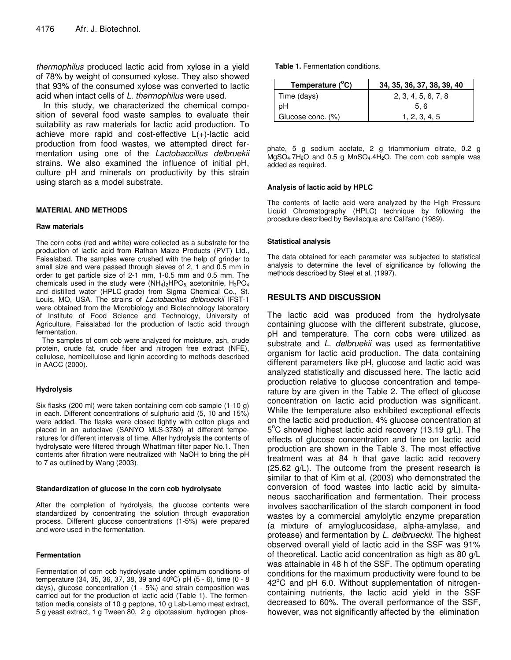*thermophilus* produced lactic acid from xylose in a yield of 78% by weight of consumed xylose. They also showed that 93% of the consumed xylose was converted to lactic acid when intact cells of *L. thermophilus* were used.

In this study, we characterized the chemical composition of several food waste samples to evaluate their suitability as raw materials for lactic acid production. To achieve more rapid and cost-effective L(+)-lactic acid production from food wastes, we attempted direct fermentation using one of the *Lactobaccillus delbruekii* strains. We also examined the influence of initial pH, culture pH and minerals on productivity by this strain using starch as a model substrate.

## **MATERIAL AND METHODS**

#### **Raw materials**

The corn cobs (red and white) were collected as a substrate for the production of lactic acid from Rafhan Maize Products (PVT) Ltd., Faisalabad. The samples were crushed with the help of grinder to small size and were passed through sieves of 2, 1 and 0.5 mm in order to get particle size of 2-1 mm, 1-0.5 mm and 0.5 mm. The chemicals used in the study were  $(NH<sub>4</sub>)<sub>2</sub>HPO<sub>5</sub>$ , acetonitrile,  $H<sub>3</sub>PO<sub>4</sub>$ and distilled water (HPLC-grade) from Sigma Chemical Co., St. Louis, MO, USA. The strains of *Lactobacillus delbrueckii* IFST-1 were obtained from the Microbiology and Biotechnology laboratory of Institute of Food Science and Technology, University of Agriculture, Faisalabad for the production of lactic acid through fermentation.

The samples of corn cob were analyzed for moisture, ash, crude protein, crude fat, crude fiber and nitrogen free extract (NFE), cellulose, hemicellulose and lignin according to methods described in AACC (2000).

### **Hydrolysis**

Six flasks (200 ml) were taken containing corn cob sample (1-10 g) in each. Different concentrations of sulphuric acid (5, 10 and 15%) were added. The flasks were closed tightly with cotton plugs and placed in an autoclave (SANYO MLS-3780) at different temperatures for different intervals of time. After hydrolysis the contents of hydrolysate were filtered through Whattman filter paper No.1. Then contents after filtration were neutralized with NaOH to bring the pH to 7 as outlined by Wang (2003).

#### **Standardization of glucose in the corn cob hydrolysate**

After the completion of hydrolysis, the glucose contents were standardized by concentrating the solution through evaporation process. Different glucose concentrations (1-5%) were prepared and were used in the fermentation.

#### **Fermentation**

Fermentation of corn cob hydrolysate under optimum conditions of temperature (34, 35, 36, 37, 38, 39 and 40ºC) pH (5 - 6), time (0 - 8 days), glucose concentration (1 - 5%) and strain composition was carried out for the production of lactic acid (Table 1). The fermentation media consists of 10 g peptone, 10 g Lab-Lemo meat extract, 5 g yeast extract, 1 g Tween 80, 2 g dipotassium hydrogen phos**Table 1.** Fermentation conditions.

| Temperature (°C)  | 34, 35, 36, 37, 38, 39, 40 |
|-------------------|----------------------------|
| Time (days)       | 2, 3, 4, 5, 6, 7, 8        |
| pН                | 5.6                        |
| Glucose conc. (%) | 1. 2. 3. 4. 5              |

phate, 5 g sodium acetate, 2 g triammonium citrate, 0.2 g MgSO<sub>4</sub>.7H<sub>2</sub>O and 0.5 g MnSO<sub>4</sub>.4H<sub>2</sub>O. The corn cob sample was added as required.

#### **Analysis of lactic acid by HPLC**

The contents of lactic acid were analyzed by the High Pressure Liquid Chromatography (HPLC) technique by following the procedure described by Bevilacqua and Califano (1989).

#### **Statistical analysis**

The data obtained for each parameter was subjected to statistical analysis to determine the level of significance by following the methods described by Steel et al. (1997).

# **RESULTS AND DISCUSSION**

The lactic acid was produced from the hydrolysate containing glucose with the different substrate, glucose, pH and temperature. The corn cobs were utilized as substrate and *L. delbruekii* was used as fermentatitive organism for lactic acid production. The data containing different parameters like pH, glucose and lactic acid was analyzed statistically and discussed here. The lactic acid production relative to glucose concentration and temperature by are given in the Table 2. The effect of glucose concentration on lactic acid production was significant. While the temperature also exhibited exceptional effects on the lactic acid production. 4% glucose concentration at 5°C showed highest lactic acid recovery (13.19 g/L). The effects of glucose concentration and time on lactic acid production are shown in the Table 3. The most effective treatment was at 84 h that gave lactic acid recovery (25.62 g/L). The outcome from the present research is similar to that of Kim et al. (2003) who demonstrated the conversion of food wastes into lactic acid by simultaneous saccharification and fermentation. Their process involves saccharification of the starch component in food wastes by a commercial amylolytic enzyme preparation (a mixture of amyloglucosidase, alpha-amylase, and protease) and fermentation by *L. delbrueckii*. The highest observed overall yield of lactic acid in the SSF was 91% of theoretical. Lactic acid concentration as high as 80 g/L was attainable in 48 h of the SSF. The optimum operating conditions for the maximum productivity were found to be 42°C and pH 6.0. Without supplementation of nitrogencontaining nutrients, the lactic acid yield in the SSF decreased to 60%. The overall performance of the SSF, however, was not significantly affected by the elimination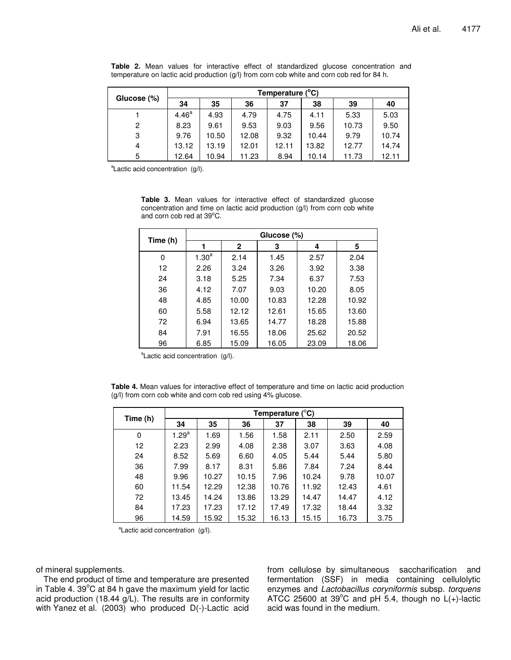| Glucose (%)    | Temperature (°C)  |       |       |       |       |       |       |
|----------------|-------------------|-------|-------|-------|-------|-------|-------|
|                | 34                | 35    | 36    | 37    | 38    | 39    | 40    |
|                | 4.46 <sup>a</sup> | 4.93  | 4.79  | 4.75  | 4.11  | 5.33  | 5.03  |
| $\overline{c}$ | 8.23              | 9.61  | 9.53  | 9.03  | 9.56  | 10.73 | 9.50  |
| 3              | 9.76              | 10.50 | 12.08 | 9.32  | 10.44 | 9.79  | 10.74 |
| 4              | 13.12             | 13.19 | 12.01 | 12.11 | 13.82 | 12.77 | 14.74 |
| 5              | 12.64             | 10.94 | 11.23 | 8.94  | 10.14 | 11.73 | 12.11 |

**Table 2.** Mean values for interactive effect of standardized glucose concentration and temperature on lactic acid production (g/l) from corn cob white and corn cob red for 84 h.

<sup>a</sup>Lactic acid concentration (g/l).

**Table 3.** Mean values for interactive effect of standardized glucose concentration and time on lactic acid production (g/l) from corn cob white and corn cob red at 39°C.

| Time (h) | Glucose (%)       |       |       |       |       |  |  |
|----------|-------------------|-------|-------|-------|-------|--|--|
|          |                   | 2     | 3     | 4     | 5     |  |  |
| 0        | 1.30 <sup>a</sup> | 2.14  | 1.45  | 2.57  | 2.04  |  |  |
| 12       | 2.26              | 3.24  | 3.26  | 3.92  | 3.38  |  |  |
| 24       | 3.18              | 5.25  | 7.34  | 6.37  | 7.53  |  |  |
| 36       | 4.12              | 7.07  | 9.03  | 10.20 | 8.05  |  |  |
| 48       | 4.85              | 10.00 | 10.83 | 12.28 | 10.92 |  |  |
| 60       | 5.58              | 12.12 | 12.61 | 15.65 | 13.60 |  |  |
| 72       | 6.94              | 13.65 | 14.77 | 18.28 | 15.88 |  |  |
| 84       | 7.91              | 16.55 | 18.06 | 25.62 | 20.52 |  |  |
| 96       | 6.85              | 15.09 | 16.05 | 23.09 | 18.06 |  |  |

<sup>a</sup>Lactic acid concentration (g/l).

**Table 4.** Mean values for interactive effect of temperature and time on lactic acid production (g/l) from corn cob white and corn cob red using 4% glucose.

| Time (h) | Temperature $(^{\circ}C)$ |       |       |       |       |       |       |
|----------|---------------------------|-------|-------|-------|-------|-------|-------|
|          | 34                        | 35    | 36    | 37    | 38    | 39    | 40    |
| 0        | 1.29 <sup>a</sup>         | 1.69  | 1.56  | 1.58  | 2.11  | 2.50  | 2.59  |
| 12       | 2.23                      | 2.99  | 4.08  | 2.38  | 3.07  | 3.63  | 4.08  |
| 24       | 8.52                      | 5.69  | 6.60  | 4.05  | 5.44  | 5.44  | 5.80  |
| 36       | 7.99                      | 8.17  | 8.31  | 5.86  | 7.84  | 7.24  | 8.44  |
| 48       | 9.96                      | 10.27 | 10.15 | 7.96  | 10.24 | 9.78  | 10.07 |
| 60       | 11.54                     | 12.29 | 12.38 | 10.76 | 11.92 | 12.43 | 4.61  |
| 72       | 13.45                     | 14.24 | 13.86 | 13.29 | 14.47 | 14.47 | 4.12  |
| 84       | 17.23                     | 17.23 | 17.12 | 17.49 | 17.32 | 18.44 | 3.32  |
| 96       | 14.59                     | 15.92 | 15.32 | 16.13 | 15.15 | 16.73 | 3.75  |

<sup>a</sup>Lactic acid concentration (g/l).

of mineral supplements.

The end product of time and temperature are presented in Table 4. 39 $^{\circ}$ C at 84 h gave the maximum yield for lactic acid production (18.44 g/L). The results are in conformity with Yanez et al. (2003) who produced D(-)-Lactic acid

from cellulose by simultaneous saccharification and fermentation (SSF) in media containing cellulolytic enzymes and *Lactobacillus coryniformis* subsp. *torquens* ATCC 25600 at 39 $^{\circ}$ C and pH 5.4, though no L(+)-lactic acid was found in the medium.